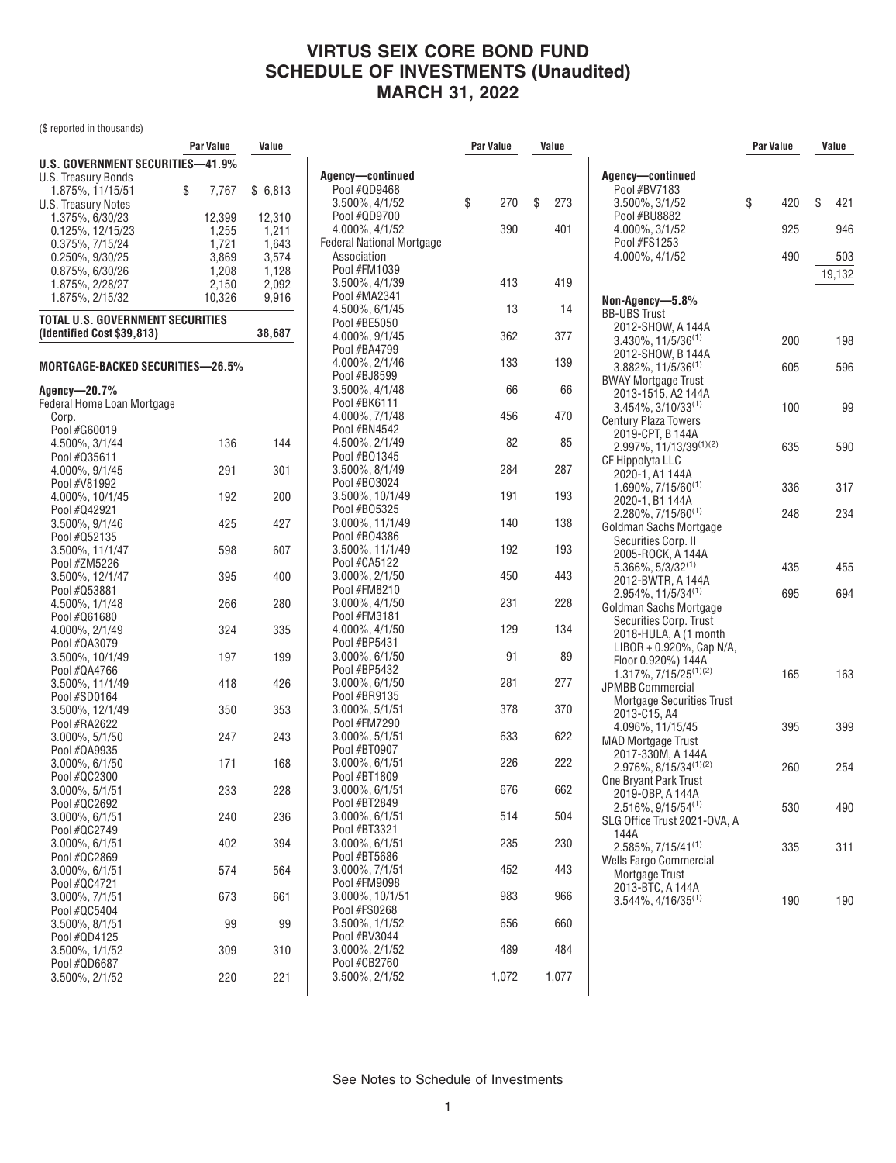# **VIRTUS SEIX CORE BOND FUND SCHEDULE OF INVESTMENTS (Unaudited) MARCH 31, 2022**

(\$ reported in thousands)

|                                         | Par Value   | Value   |                                  | <b>Par Value</b> | Value     |                                                 | Par Value | Value     |
|-----------------------------------------|-------------|---------|----------------------------------|------------------|-----------|-------------------------------------------------|-----------|-----------|
| U.S. GOVERNMENT SECURITIES-41.9%        |             |         |                                  |                  |           |                                                 |           |           |
| U.S. Treasury Bonds                     |             |         | Agency-continued                 |                  |           | Agency-continued                                |           |           |
| 1.875%, 11/15/51                        | \$<br>7,767 | \$6,813 | Pool #QD9468                     |                  |           | Pool #BV7183                                    |           |           |
| U.S. Treasury Notes                     |             |         | 3.500%, 4/1/52                   | \$<br>270        | \$<br>273 | 3.500%, 3/1/52                                  | \$<br>420 | \$<br>421 |
| 1.375%, 6/30/23                         | 12,399      | 12,310  | Pool #QD9700                     |                  |           | Pool #BU8882                                    |           |           |
| 0.125%, 12/15/23                        | 1,255       | 1,211   | 4.000%, 4/1/52                   | 390              | 401       | 4.000%, 3/1/52                                  | 925       | 946       |
| 0.375%, 7/15/24                         | 1,721       | 1,643   | <b>Federal National Mortgage</b> |                  |           | Pool #FS1253                                    |           |           |
| 0.250%, 9/30/25                         | 3,869       | 3,574   | Association                      |                  |           | 4.000%, 4/1/52                                  | 490       | 503       |
| 0.875%, 6/30/26                         | 1,208       | 1,128   | Pool #FM1039                     |                  |           |                                                 |           | 19,132    |
| 1.875%, 2/28/27                         | 2,150       | 2,092   | 3.500%, 4/1/39                   | 413              | 419       |                                                 |           |           |
| 1.875%, 2/15/32                         | 10,326      | 9,916   | Pool #MA2341                     |                  |           | Non-Agency-5.8%                                 |           |           |
|                                         |             |         | 4.500%, 6/1/45                   | 13               | 14        | <b>BB-UBS Trust</b>                             |           |           |
| TOTAL U.S. GOVERNMENT SECURITIES        |             |         | Pool #BE5050                     |                  |           | 2012-SHOW, A 144A                               |           |           |
| (Identified Cost \$39,813)              |             | 38,687  | 4.000%, 9/1/45                   | 362              | 377       | $3.430\%$ , 11/5/36 <sup>(1)</sup>              | 200       | 198       |
|                                         |             |         | Pool #BA4799                     |                  |           | 2012-SHOW, B 144A                               |           |           |
| <b>MORTGAGE-BACKED SECURITIES-26.5%</b> |             |         | 4.000%, 2/1/46                   | 133              | 139       | $3.882\%$ , 11/5/36 <sup>(1)</sup>              | 605       | 596       |
|                                         |             |         | Pool #BJ8599                     |                  |           | <b>BWAY Mortgage Trust</b>                      |           |           |
| Agency-20.7%                            |             |         | 3.500%, 4/1/48                   | 66               | 66        | 2013-1515, A2 144A                              |           |           |
| Federal Home Loan Mortgage              |             |         | Pool #BK6111                     |                  |           | $3.454\%, 3/10/33^{(1)}$                        | 100       | 99        |
| Corp.                                   |             |         | 4.000%, 7/1/48                   | 456              | 470       | <b>Century Plaza Towers</b>                     |           |           |
| Pool #G60019                            |             |         | Pool #BN4542                     |                  |           | 2019-CPT, B 144A                                |           |           |
| 4.500%, 3/1/44                          | 136         | 144     | 4.500%, 2/1/49                   | 82               | 85        | 2.997%, 11/13/39(1)(2)                          | 635       | 590       |
| Pool #035611                            |             |         | Pool #B01345                     |                  |           | CF Hippolyta LLC                                |           |           |
| 4.000%, 9/1/45                          | 291         | 301     | 3.500%, 8/1/49                   | 284              | 287       | 2020-1, A1 144A                                 |           |           |
| Pool #V81992                            |             |         | Pool #B03024                     |                  |           | $1.690\%$ , $7/15/60^{(1)}$                     | 336       | 317       |
| 4.000%, 10/1/45                         | 192         | 200     | 3.500%, 10/1/49                  | 191              | 193       | 2020-1, B1 144A                                 |           |           |
| Pool #Q42921                            |             |         | Pool #B05325                     |                  |           | $2.280\%$ , $7/15/60^{(1)}$                     | 248       | 234       |
| 3.500%, 9/1/46                          | 425         | 427     | 3.000%, 11/1/49                  | 140              | 138       | Goldman Sachs Mortgage                          |           |           |
| Pool #052135                            |             |         | Pool #B04386                     |                  |           | Securities Corp. II                             |           |           |
| 3.500%, 11/1/47                         | 598         | 607     | 3.500%, 11/1/49                  | 192              | 193       | 2005-ROCK, A 144A                               |           |           |
| Pool #ZM5226                            |             |         | Pool #CA5122                     |                  |           |                                                 | 435       | 455       |
| 3.500%, 12/1/47                         | 395         | 400     | 3.000%, 2/1/50                   | 450              | 443       | $5.366\%$ , $5/3/32^{(1)}$<br>2012-BWTR, A 144A |           |           |
| Pool #053881                            |             |         | Pool #FM8210                     |                  |           | $2.954\%, 11/5/34^{(1)}$                        | 695       | 694       |
| 4.500%, 1/1/48                          | 266         | 280     | 3.000%, 4/1/50                   | 231              | 228       | Goldman Sachs Mortgage                          |           |           |
| Pool #Q61680                            |             |         | Pool #FM3181                     |                  |           | Securities Corp. Trust                          |           |           |
| 4.000%, 2/1/49                          | 324         | 335     | 4.000%, 4/1/50                   | 129              | 134       | 2018-HULA, A (1 month                           |           |           |
| Pool #QA3079                            |             |         | Pool #BP5431                     |                  |           | $LIBOR + 0.920\%$ , Cap N/A,                    |           |           |
| 3.500%, 10/1/49                         | 197         | 199     | $3.000\%$ , $6/1/50$             | 91               | 89        | Floor 0.920%) 144A                              |           |           |
| Pool #QA4766                            |             |         | Pool #BP5432                     |                  |           | $1.317\%, 7/15/25^{(1)(2)}$                     | 165       | 163       |
| 3.500%, 11/1/49                         | 418         | 426     | 3.000%, 6/1/50                   | 281              | 277       | <b>JPMBB Commercial</b>                         |           |           |
| Pool #SD0164                            |             |         | Pool #BR9135                     |                  |           | <b>Mortgage Securities Trust</b>                |           |           |
| 3.500%, 12/1/49                         | 350         | 353     | 3.000%, 5/1/51                   | 378              | 370       | 2013-C15, A4                                    |           |           |
| Pool #RA2622                            |             |         | Pool #FM7290                     |                  |           | 4.096%, 11/15/45                                | 395       | 399       |
| 3.000%, 5/1/50                          | 247         | 243     | 3.000%, 5/1/51                   | 633              | 622       | <b>MAD Mortgage Trust</b>                       |           |           |
| Pool #QA9935                            |             |         | Pool #BT0907                     |                  |           | 2017-330M, A 144A                               |           |           |
| 3.000%, 6/1/50                          | 171         | 168     | 3.000%, 6/1/51                   | 226              | 222       | $2.976\%, 8/15/34^{(1)(2)}$                     | 260       | 254       |
| Pool #QC2300                            |             |         | Pool #BT1809                     |                  |           | One Bryant Park Trust                           |           |           |
| 3.000%, 5/1/51                          | 233         | 228     | 3.000%, 6/1/51                   | 676              | 662       | 2019-0BP, A 144A                                |           |           |
| Pool #QC2692                            |             |         | Pool #BT2849                     |                  |           | $2.516\%, 9/15/54^{(1)}$                        | 530       | 490       |
| 3.000%, 6/1/51                          | 240         | 236     | 3.000%, 6/1/51                   | 514              | 504       | SLG Office Trust 2021-OVA, A                    |           |           |
| Pool #QC2749                            |             |         | Pool #BT3321                     |                  |           | 144A                                            |           |           |
| 3.000%, 6/1/51                          | 402         | 394     | 3.000%, 6/1/51                   | 235              | 230       | 2.585%, 7/15/41 <sup>(1)</sup>                  | 335       | 311       |
| Pool #QC2869                            |             |         | Pool #BT5686                     |                  |           | <b>Wells Fargo Commercial</b>                   |           |           |
| 3.000%, 6/1/51                          | 574         | 564     | 3.000%, 7/1/51                   | 452              | 443       | Mortgage Trust                                  |           |           |
| Pool #QC4721                            |             |         | Pool #FM9098                     |                  |           | 2013-BTC, A 144A                                |           |           |
| 3.000%, 7/1/51                          | 673         | 661     | 3.000%, 10/1/51                  | 983              | 966       | $3.544\%$ , $4/16/35^{(1)}$                     | 190       | 190       |
| Pool #QC5404                            |             |         | Pool #FS0268                     |                  |           |                                                 |           |           |
| 3.500%, 8/1/51                          | 99          | 99      | 3.500%, 1/1/52                   | 656              | 660       |                                                 |           |           |
| Pool #QD4125                            |             |         | Pool #BV3044                     |                  |           |                                                 |           |           |
| 3.500%, 1/1/52                          | 309         | 310     | 3.000%, 2/1/52                   | 489              | 484       |                                                 |           |           |
| Pool #QD6687                            |             |         | Pool #CB2760                     |                  |           |                                                 |           |           |
| 3.500%, 2/1/52                          | 220         | 221     | 3.500%, 2/1/52                   | 1,072            | 1,077     |                                                 |           |           |
|                                         |             |         |                                  |                  |           |                                                 |           |           |

See Notes to Schedule of Investments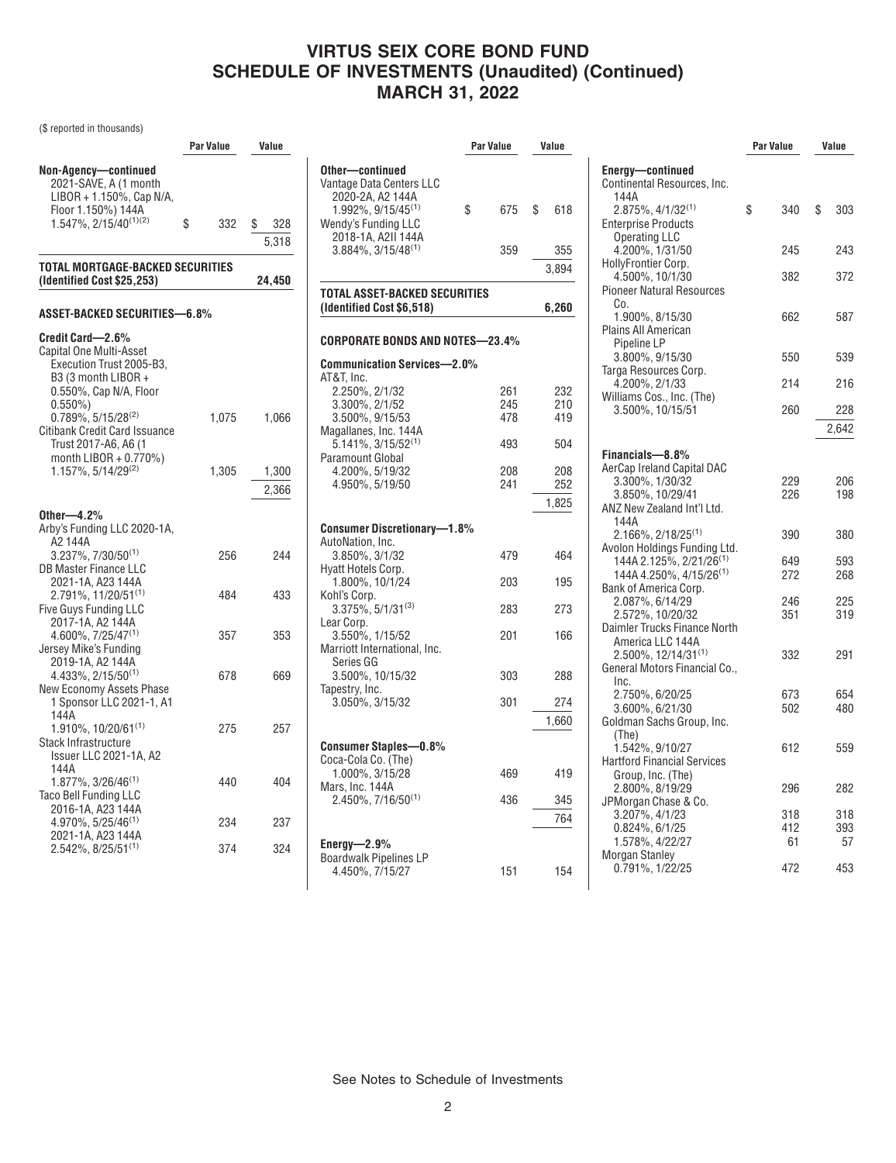# **VIRTUS SEIX CORE BOND FUND SCHEDULE OF INVESTMENTS (Unaudited) (Continued) MARCH 31, 2022**

764

(\$ reported in thousands)

|                                                                                                                                       | <b>Par Value</b> | Value              |                                                                                                                                                                      | <b>Par Value</b> | Value            |
|---------------------------------------------------------------------------------------------------------------------------------------|------------------|--------------------|----------------------------------------------------------------------------------------------------------------------------------------------------------------------|------------------|------------------|
| Non-Agency-continued<br>2021-SAVE, A (1 month<br>$LIBOR + 1.150\%$ , Cap N/A,<br>Floor 1.150%) 144A<br>$1.547\%$ , $2/15/40^{(1)(2)}$ | \$<br>332        | \$<br>328<br>5,318 | Other-continued<br>Vantage Data Centers LLC<br>2020-2A, A2 144A<br>$1.992\%, 9/15/45^{(1)}$<br>Wendy's Funding LLC<br>2018-1A, A2II 144A<br>$3.884\%, 3/15/48^{(1)}$ | \$<br>675<br>359 | \$<br>618<br>355 |
| TOTAL MORTGAGE-BACKED SECURITIES<br>(Identified Cost \$25,253)                                                                        |                  | 24,450             |                                                                                                                                                                      |                  | 3,894            |
|                                                                                                                                       |                  |                    | TOTAL ASSET-BACKED SECURITIES                                                                                                                                        |                  |                  |
| <b>ASSET-BACKED SECURITIES-6.8%</b>                                                                                                   |                  |                    | (Identified Cost \$6,518)                                                                                                                                            |                  | 6,260            |
| Credit Card-2.6%<br><b>Capital One Multi-Asset</b>                                                                                    |                  |                    | <b>CORPORATE BONDS AND NOTES-23.4%</b>                                                                                                                               |                  |                  |
| Execution Trust 2005-B3,<br>B3 (3 month LIBOR +                                                                                       |                  |                    | <b>Communication Services-2.0%</b><br>AT&T, Inc.                                                                                                                     |                  |                  |
| 0.550%, Cap N/A, Floor                                                                                                                |                  |                    | 2.250%, 2/1/32                                                                                                                                                       | 261              | 232              |
| $0.550\%$                                                                                                                             |                  |                    | 3.300%, 2/1/52                                                                                                                                                       | 245              | 210              |
| $0.789\%$ , 5/15/28 <sup>(2)</sup><br><b>Citibank Credit Card Issuance</b>                                                            | 1,075            | 1,066              | 3.500%, 9/15/53<br>Magallanes, Inc. 144A                                                                                                                             | 478              | 419              |
| Trust 2017-A6, A6 (1                                                                                                                  |                  |                    | $5.141\%, 3/15/52^{(1)}$                                                                                                                                             | 493              | 504              |
| month LIBOR + 0.770%)<br>1.157%, 5/14/29(2)                                                                                           | 1,305            | 1,300              | <b>Paramount Global</b><br>4.200%, 5/19/32                                                                                                                           | 208              | 208              |
|                                                                                                                                       |                  |                    | 4.950%, 5/19/50                                                                                                                                                      | 241              | 252              |
|                                                                                                                                       |                  | 2,366              |                                                                                                                                                                      |                  | 1,825            |
| Other $-4.2%$                                                                                                                         |                  |                    |                                                                                                                                                                      |                  |                  |
| Arby's Funding LLC 2020-1A,<br>A2 144A                                                                                                |                  |                    | <b>Consumer Discretionary-1.8%</b><br>AutoNation, Inc.                                                                                                               |                  |                  |
| $3.237\%$ , 7/30/50 <sup>(1)</sup>                                                                                                    | 256              | 244                | 3.850%, 3/1/32                                                                                                                                                       | 479              | 464              |
| <b>DB Master Finance LLC</b><br>2021-1A, A23 144A                                                                                     |                  |                    | Hyatt Hotels Corp.<br>1.800%, 10/1/24                                                                                                                                | 203              | 195              |
| 2.791%, 11/20/51(1)                                                                                                                   | 484              | 433                | Kohl's Corp.                                                                                                                                                         |                  |                  |
| <b>Five Guys Funding LLC</b>                                                                                                          |                  |                    | $3.375\%$ , 5/1/31 <sup>(3)</sup>                                                                                                                                    | 283              | 273              |
| 2017-1A, A2 144A                                                                                                                      |                  |                    | Lear Corp.                                                                                                                                                           |                  |                  |
| $4.600\%$ , $7/25/47^{(1)}$                                                                                                           | 357              | 353                | 3.550%, 1/15/52                                                                                                                                                      | 201              | 166              |
| Jersey Mike's Funding                                                                                                                 |                  |                    | Marriott International, Inc.                                                                                                                                         |                  |                  |
| 2019-1A, A2 144A                                                                                                                      |                  |                    | Series GG                                                                                                                                                            |                  |                  |
| 4.433%, 2/15/50 <sup>(1)</sup><br>New Economy Assets Phase                                                                            | 678              | 669                | 3.500%, 10/15/32<br>Tapestry, Inc.                                                                                                                                   | 303              | 288              |
| 1 Sponsor LLC 2021-1, A1                                                                                                              |                  |                    | 3.050%, 3/15/32                                                                                                                                                      | 301              | 274              |
| 144A                                                                                                                                  |                  |                    |                                                                                                                                                                      |                  |                  |
| $1.910\%$ , 10/20/61 <sup>(1)</sup>                                                                                                   | 275              | 257                |                                                                                                                                                                      |                  | 1,660            |
| Stack Infrastructure                                                                                                                  |                  |                    | <b>Consumer Staples-0.8%</b>                                                                                                                                         |                  |                  |
| Issuer LLC 2021-1A, A2                                                                                                                |                  |                    | Coca-Cola Co. (The)                                                                                                                                                  |                  |                  |
| 144A                                                                                                                                  |                  |                    | 1.000%, 3/15/28                                                                                                                                                      | 469              | 419              |
| $1.877\%$ , 3/26/46 <sup>(1)</sup><br><b>Taco Bell Funding LLC</b>                                                                    | 440              | 404                | Mars, Inc. 144A                                                                                                                                                      |                  |                  |
| 2016-1A, A23 144A                                                                                                                     |                  |                    | $2.450\%$ , $7/16/50^{(1)}$                                                                                                                                          | 436              | 345              |
| $4.970\%$ , 5/25/46 <sup>(1)</sup>                                                                                                    | 234              | 237                |                                                                                                                                                                      |                  | 764              |
| 2021-1A, A23 144A                                                                                                                     |                  |                    |                                                                                                                                                                      |                  |                  |
| $2.542\%$ , 8/25/51 <sup>(1)</sup>                                                                                                    | 374              | 324                | Energy- $2.9\%$<br><b>Boardwalk Pipelines LP</b>                                                                                                                     |                  |                  |
|                                                                                                                                       |                  |                    | 4.450%, 7/15/27                                                                                                                                                      | 151              | 154              |
|                                                                                                                                       |                  |                    |                                                                                                                                                                      |                  |                  |

|                                               | Par Value | Value     |
|-----------------------------------------------|-----------|-----------|
| Energy—continued                              |           |           |
| Continental Resources, Inc.                   |           |           |
| 144A                                          |           |           |
| $2.875\%$ , 4/1/32 <sup>(1)</sup>             | \$<br>340 | \$<br>303 |
| <b>Enterprise Products</b>                    |           |           |
| <b>Operating LLC</b>                          |           |           |
| 4.200%, 1/31/50                               | 245       | 243       |
| HollyFrontier Corp.                           |           |           |
| 4.500%, 10/1/30                               | 382       | 372       |
| <b>Pioneer Natural Resources</b>              |           |           |
| Co.                                           |           |           |
| 1.900%, 8/15/30                               | 662       | 587       |
| Plains All American                           |           |           |
| Pipeline LP                                   |           |           |
| 3.800%, 9/15/30                               | 550       | 539       |
| Targa Resources Corp.<br>4.200%, 2/1/33       | 214       | 216       |
| Williams Cos., Inc. (The)                     |           |           |
| 3.500%, 10/15/51                              | 260       | 228       |
|                                               |           |           |
|                                               |           | 2,642     |
|                                               |           |           |
| Financials-8.8%<br>AerCap Ireland Capital DAC |           |           |
| 3.300%, 1/30/32                               | 229       | 206       |
| 3.850%, 10/29/41                              | 226       | 198       |
| ANZ New Zealand Int'l Ltd.                    |           |           |
| 144A                                          |           |           |
| 2.166%, 2/18/25 <sup>(1)</sup>                | 390       | 380       |
| Avolon Holdings Funding Ltd.                  |           |           |
| 144A 2.125%, 2/21/26 <sup>(1)</sup>           | 649       | 593       |
| 144A 4.250%, 4/15/26 <sup>(1)</sup>           | 272       | 268       |
| Bank of America Corp.                         |           |           |
| 2.087%, 6/14/29                               | 246       | 225       |
| 2.572%, 10/20/32                              | 351       | 319       |
| Daimler Trucks Finance North                  |           |           |
| America LLC 144A                              |           |           |
| 2.500%, 12/14/31(1)                           | 332       | 291       |
| General Motors Financial Co.,                 |           |           |
| Inc.<br>2.750%, 6/20/25                       | 673       | 654       |
| 3.600%, 6/21/30                               | 502       | 480       |
| Goldman Sachs Group, Inc.                     |           |           |
| (The)                                         |           |           |
| 1.542%, 9/10/27                               | 612       | 559       |
| <b>Hartford Financial Services</b>            |           |           |
| Group, Inc. (The)                             |           |           |
| 2.800%, 8/19/29                               | 296       | 282       |
| JPMorgan Chase & Co.                          |           |           |
| 3.207%, 4/1/23                                | 318       | 318       |
| 0.824%, 6/1/25                                | 412       | 393       |
| 1.578%, 4/22/27                               | 61        | 57        |
| Morgan Stanley                                |           |           |
| 0.791%, 1/22/25                               | 472       | 453       |

See Notes to Schedule of Investments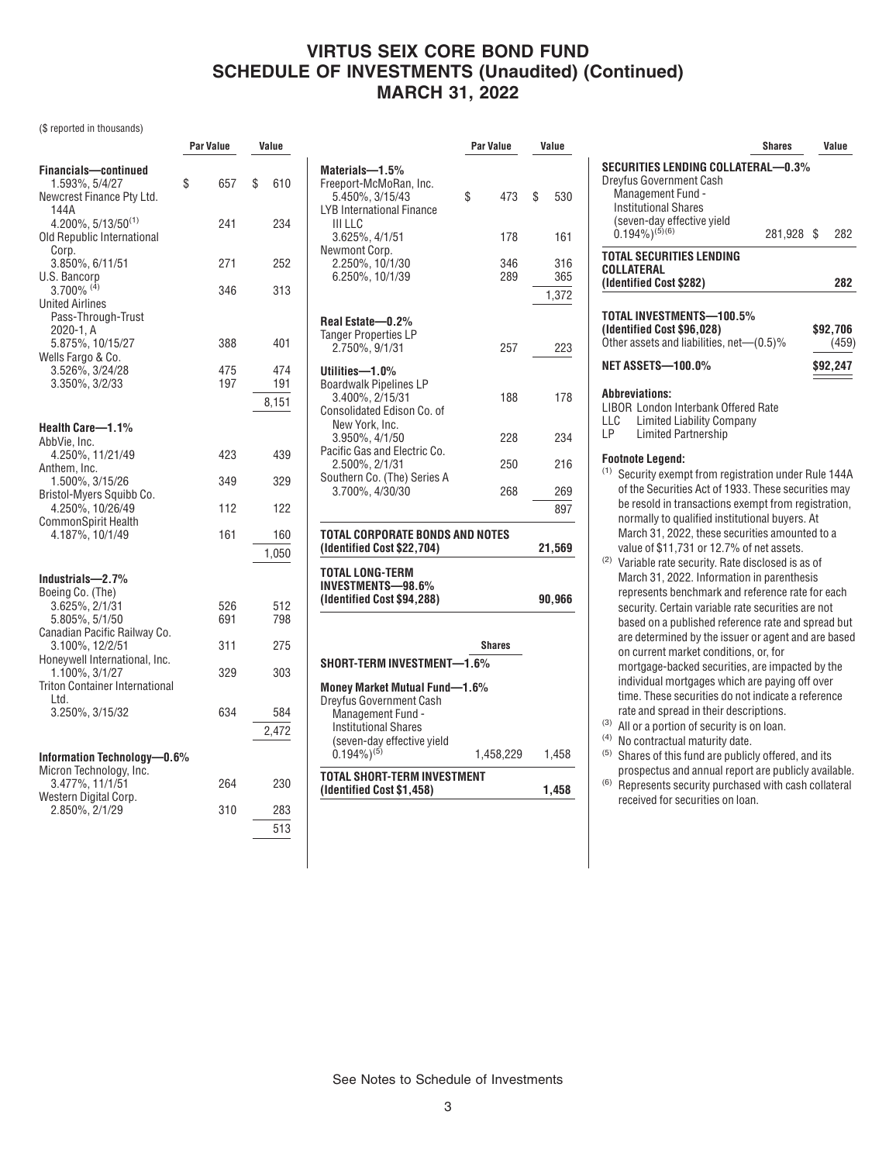#### **VIRTUS SEIX CORE BOND FUND SCHEDULE OF INVESTMENTS (Unaudited) (Continued) MARCH 31, 2022**

**Par Value Value**

#### (\$ reported in thousands)

|                                                                                       | Par Value |            | Value |                     |
|---------------------------------------------------------------------------------------|-----------|------------|-------|---------------------|
| Financials-continued<br>1.593%, 5/4/27<br>Newcrest Finance Pty Ltd.                   | \$        | 657        | \$    | 610                 |
| 144A<br>4.200%, 5/13/50(1)<br>Old Republic International<br>Corp.                     |           | 241        |       | 234                 |
| 3.850%, 6/11/51<br>U.S. Bancorp                                                       |           | 271        |       | 252                 |
| $3.700\%$ <sup>(4)</sup><br><b>United Airlines</b><br>Pass-Through-Trust<br>2020-1, A |           | 346        |       | 313                 |
| 5.875%, 10/15/27<br>Wells Fargo & Co.                                                 |           | 388        |       | 401                 |
| 3.526%, 3/24/28<br>3.350%, 3/2/33                                                     |           | 475<br>197 |       | 474<br>191<br>8,151 |
| Health Care-1.1%                                                                      |           |            |       |                     |
| AbbVie, Inc.<br>4.250%, 11/21/49                                                      |           | 423        |       | 439                 |
| Anthem, Inc.<br>1.500%, 3/15/26                                                       |           | 349        |       | 329                 |
| Bristol-Myers Squibb Co.<br>4.250%, 10/26/49                                          |           | 112        |       | 122                 |
| <b>CommonSpirit Health</b><br>4.187%, 10/1/49                                         |           | 161        |       | 160<br>1,050        |
| Industrials-2.7%                                                                      |           |            |       |                     |
| Boeing Co. (The)<br>3.625%, 2/1/31                                                    |           | 526        |       | 512                 |
| 5.805%, 5/1/50<br>Canadian Pacific Railway Co.                                        |           | 691        |       | 798                 |
| 3.100%, 12/2/51<br>Honeywell International, Inc.                                      |           | 311        |       | 275                 |
| 1.100%, 3/1/27<br><b>Triton Container International</b><br>Ltd.                       |           | 329        |       | 303                 |
| 3.250%, 3/15/32                                                                       |           | 634        |       | 584                 |
|                                                                                       |           |            |       | 2,472               |
| Information Technology-0.6%<br>Micron Technology, Inc.                                |           |            |       |                     |
| 3.477%, 11/1/51<br>Western Digital Corp.                                              |           | 264        |       | 230                 |
| 2.850%, 2/1/29                                                                        |           | 310        |       | 283                 |
|                                                                                       |           |            |       | 513                 |

| SHORT-TERM INVESTMENT—1.6%<br>Money Market Mutual Fund-1.6%<br>Dreyfus Government Cash<br><b>Management Fund -</b><br><b>Institutional Shares</b><br>(seven-day effective yield<br>$(0.194\%)^{(5)}$ |               |            |
|------------------------------------------------------------------------------------------------------------------------------------------------------------------------------------------------------|---------------|------------|
|                                                                                                                                                                                                      |               |            |
|                                                                                                                                                                                                      |               |            |
|                                                                                                                                                                                                      | <b>Shares</b> |            |
| TOTAL LONG-TERM<br><b>INVESTMENTS-98.6%</b><br>(Identified Cost \$94,288)                                                                                                                            |               | 90,966     |
| TOTAL CORPORATE BONDS AND NOTES<br>(Identified Cost \$22,704)                                                                                                                                        |               | 21,569     |
|                                                                                                                                                                                                      |               | 897        |
| Southern Co. (The) Series A<br>3.700%, 4/30/30                                                                                                                                                       | 268           | 269        |
| 3.950%, 4/1/50<br>Pacific Gas and Electric Co.<br>2.500%, 2/1/31                                                                                                                                     | 228<br>250    | 234<br>216 |
| Consolidated Edison Co. of<br>New York, Inc.                                                                                                                                                         |               |            |
| Utilities-1.0%<br><b>Boardwalk Pipelines LP</b><br>3.400%, 2/15/31                                                                                                                                   | 188           | 178        |
| Real Estate-0.2%<br><b>Tanger Properties LP</b><br>2.750%, 9/1/31                                                                                                                                    | 257           | 223        |
|                                                                                                                                                                                                      |               | 1,372      |
| Newmont Corp.<br>2.250%, 10/1/30<br>6.250%, 10/1/39                                                                                                                                                  | 346<br>289    | 316<br>365 |
| III LLC<br>3.625%, 4/1/51                                                                                                                                                                            | 178           | 161        |
| <b>LYB</b> International Finance                                                                                                                                                                     | \$<br>473     | \$<br>530  |

| SECURITIES LENDING COLLATERAL-0.3%<br><b>Dreyfus Government Cash</b><br>Management Fund -<br><b>Institutional Shares</b>                                                                                                                                                                                                                                                                                                                                                                                                                                                                                                                                                                                                                                                                                                                                                                                                                                                                   |  |
|--------------------------------------------------------------------------------------------------------------------------------------------------------------------------------------------------------------------------------------------------------------------------------------------------------------------------------------------------------------------------------------------------------------------------------------------------------------------------------------------------------------------------------------------------------------------------------------------------------------------------------------------------------------------------------------------------------------------------------------------------------------------------------------------------------------------------------------------------------------------------------------------------------------------------------------------------------------------------------------------|--|
|                                                                                                                                                                                                                                                                                                                                                                                                                                                                                                                                                                                                                                                                                                                                                                                                                                                                                                                                                                                            |  |
| (seven-day effective yield<br>0.194%) <sup>(5)(6)</sup><br>281,928<br>S<br>282                                                                                                                                                                                                                                                                                                                                                                                                                                                                                                                                                                                                                                                                                                                                                                                                                                                                                                             |  |
| <b>TOTAL SECURITIES LENDING</b><br>COLLATERAL                                                                                                                                                                                                                                                                                                                                                                                                                                                                                                                                                                                                                                                                                                                                                                                                                                                                                                                                              |  |
| (Identified Cost \$282)<br>282                                                                                                                                                                                                                                                                                                                                                                                                                                                                                                                                                                                                                                                                                                                                                                                                                                                                                                                                                             |  |
| TOTAL INVESTMENTS—100.5%<br>(Identified Cost \$96,028)<br>\$92,706<br>Other assets and liabilities, net-(0.5)%<br>(459)                                                                                                                                                                                                                                                                                                                                                                                                                                                                                                                                                                                                                                                                                                                                                                                                                                                                    |  |
| <b>NET ASSETS-100.0%</b><br>\$92,247                                                                                                                                                                                                                                                                                                                                                                                                                                                                                                                                                                                                                                                                                                                                                                                                                                                                                                                                                       |  |
| <b>Abbreviations:</b><br>LIBOR London Interbank Offered Rate<br><b>Limited Liability Company</b><br>LLC<br>LP<br><b>Limited Partnership</b>                                                                                                                                                                                                                                                                                                                                                                                                                                                                                                                                                                                                                                                                                                                                                                                                                                                |  |
| <b>Footnote Legend:</b><br>(1)<br>Security exempt from registration under Rule 144A<br>of the Securities Act of 1933. These securities may<br>be resold in transactions exempt from registration,<br>normally to qualified institutional buyers. At<br>March 31, 2022, these securities amounted to a<br>value of \$11.731 or 12.7% of net assets.<br><sup>(2)</sup> Variable rate security. Rate disclosed is as of<br>March 31, 2022. Information in parenthesis<br>represents benchmark and reference rate for each<br>security. Certain variable rate securities are not<br>based on a published reference rate and spread but<br>are determined by the issuer or agent and are based<br>on current market conditions, or, for<br>mortgage-backed securities, are impacted by the<br>individual mortgages which are paying off over<br>time. These securities do not indicate a reference<br>rate and spread in their descriptions.<br>(3)<br>All or a portion of security is on loan. |  |

- (4) No contractual maturity date.
- (5) Shares of this fund are publicly offered, and its prospectus and annual report are publicly available.
- (6) Represents security purchased with cash collateral received for securities on loan.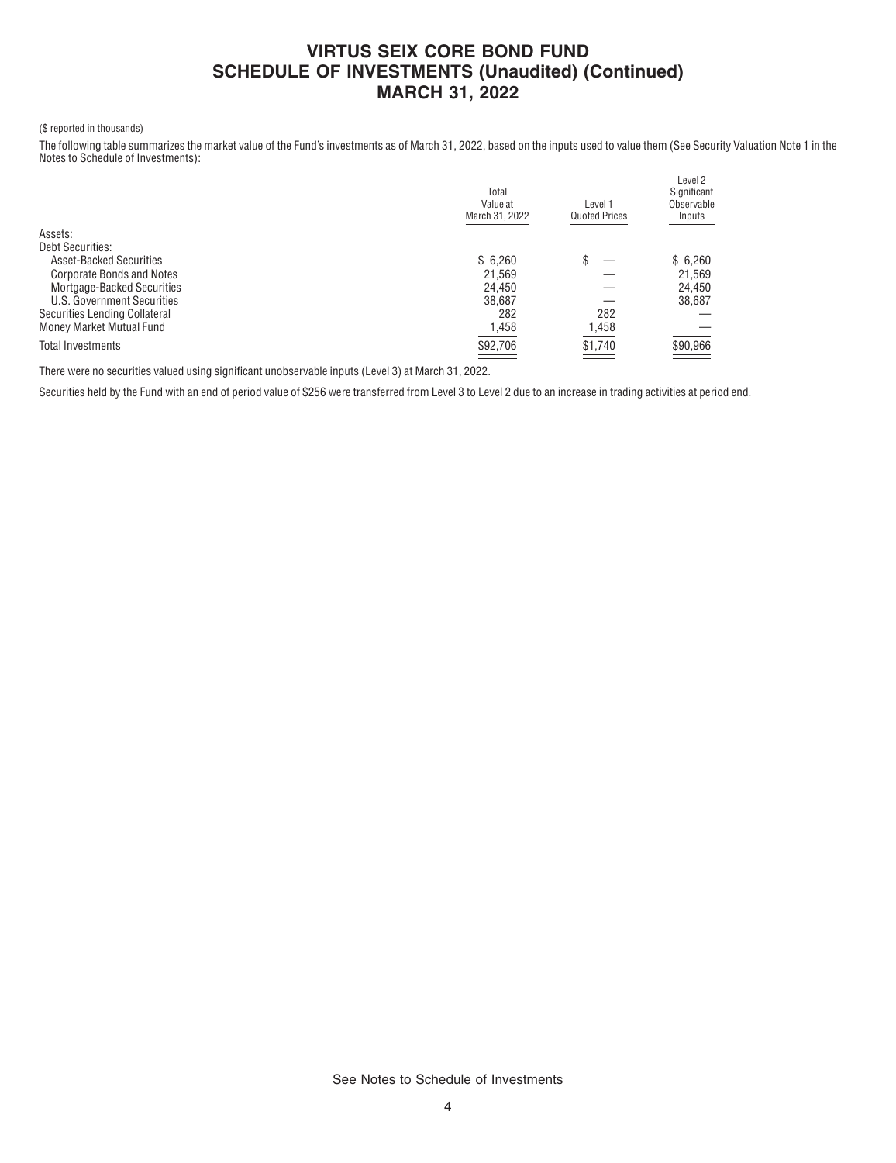## **VIRTUS SEIX CORE BOND FUND SCHEDULE OF INVESTMENTS (Unaudited) (Continued) MARCH 31, 2022**

#### (\$ reported in thousands)

The following table summarizes the market value of the Fund's investments as of March 31, 2022, based on the inputs used to value them (See Security Valuation Note 1 in the Notes to Schedule of Investments):

|                                  | Total<br>Value at<br>March 31, 2022 | Level 1<br><b>Quoted Prices</b> | Level 2<br>Significant<br>Observable<br>Inputs |
|----------------------------------|-------------------------------------|---------------------------------|------------------------------------------------|
| Assets:                          |                                     |                                 |                                                |
| <b>Debt Securities:</b>          |                                     |                                 |                                                |
| <b>Asset-Backed Securities</b>   | \$6,260                             | \$                              | \$6,260                                        |
| <b>Corporate Bonds and Notes</b> | 21.569                              |                                 | 21.569                                         |
| Mortgage-Backed Securities       | 24,450                              |                                 | 24,450                                         |
| U.S. Government Securities       | 38.687                              |                                 | 38,687                                         |
| Securities Lending Collateral    | 282                                 | 282                             |                                                |
| Money Market Mutual Fund         | 1,458                               | 1,458                           |                                                |
| Total Investments                | \$92,706                            | \$1,740                         | \$90,966                                       |
|                                  | <b>STATISTICS</b>                   | ---                             |                                                |

There were no securities valued using significant unobservable inputs (Level 3) at March 31, 2022.

Securities held by the Fund with an end of period value of \$256 were transferred from Level 3 to Level 2 due to an increase in trading activities at period end.

See Notes to Schedule of Investments